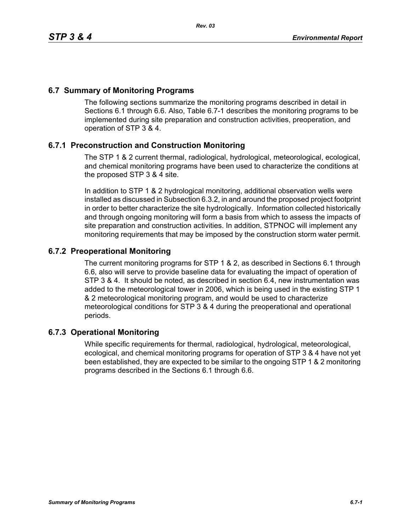## **6.7 Summary of Monitoring Programs**

The following sections summarize the monitoring programs described in detail in Sections 6.1 through 6.6. Also, Table 6.7-1 describes the monitoring programs to be implemented during site preparation and construction activities, preoperation, and operation of STP 3 & 4.

## **6.7.1 Preconstruction and Construction Monitoring**

The STP 1 & 2 current thermal, radiological, hydrological, meteorological, ecological, and chemical monitoring programs have been used to characterize the conditions at the proposed STP 3 & 4 site.

In addition to STP 1 & 2 hydrological monitoring, additional observation wells were installed as discussed in Subsection 6.3.2, in and around the proposed project footprint in order to better characterize the site hydrologically. Information collected historically and through ongoing monitoring will form a basis from which to assess the impacts of site preparation and construction activities. In addition, STPNOC will implement any monitoring requirements that may be imposed by the construction storm water permit.

## **6.7.2 Preoperational Monitoring**

The current monitoring programs for STP 1 & 2, as described in Sections 6.1 through 6.6, also will serve to provide baseline data for evaluating the impact of operation of STP 3 & 4. It should be noted, as described in section 6.4, new instrumentation was added to the meteorological tower in 2006, which is being used in the existing STP 1 & 2 meteorological monitoring program, and would be used to characterize meteorological conditions for STP 3 & 4 during the preoperational and operational periods.

## **6.7.3 Operational Monitoring**

While specific requirements for thermal, radiological, hydrological, meteorological, ecological, and chemical monitoring programs for operation of STP 3 & 4 have not yet been established, they are expected to be similar to the ongoing STP 1 & 2 monitoring programs described in the Sections 6.1 through 6.6.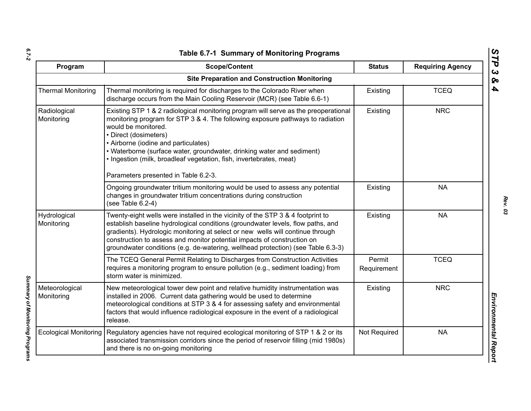| ۰.     |  |
|--------|--|
|        |  |
| $\sim$ |  |

*Summary of Monitoring Programs* 

Summary of Monitoring Programs

| Program                      | <b>Scope/Content</b>                                                                                                                                                                                                                                                                                                                                                                                                                                   | <b>Status</b>         | <b>Requiring Agency</b> |
|------------------------------|--------------------------------------------------------------------------------------------------------------------------------------------------------------------------------------------------------------------------------------------------------------------------------------------------------------------------------------------------------------------------------------------------------------------------------------------------------|-----------------------|-------------------------|
|                              | <b>Site Preparation and Construction Monitoring</b>                                                                                                                                                                                                                                                                                                                                                                                                    |                       |                         |
| <b>Thermal Monitoring</b>    | Thermal monitoring is required for discharges to the Colorado River when<br>discharge occurs from the Main Cooling Reservoir (MCR) (see Table 6.6-1)                                                                                                                                                                                                                                                                                                   | Existing              | <b>TCEQ</b>             |
| Radiological<br>Monitoring   | Existing STP 1 & 2 radiological monitoring program will serve as the preoperational<br>monitoring program for STP 3 & 4. The following exposure pathways to radiation<br>would be monitored.<br>• Direct (dosimeters)<br>• Airborne (iodine and particulates)<br>• Waterborne (surface water, groundwater, drinking water and sediment)<br>. Ingestion (milk, broadleaf vegetation, fish, invertebrates, meat)<br>Parameters presented in Table 6.2-3. | Existing              | <b>NRC</b>              |
|                              | Ongoing groundwater tritium monitoring would be used to assess any potential<br>changes in groundwater tritium concentrations during construction<br>(see Table 6.2-4)                                                                                                                                                                                                                                                                                 | Existing              | <b>NA</b>               |
| Hydrological<br>Monitoring   | Twenty-eight wells were installed in the vicinity of the STP 3 & 4 footprint to<br>establish baseline hydrological conditions (groundwater levels, flow paths, and<br>gradients). Hydrologic monitoring at select or new wells will continue through<br>construction to assess and monitor potential impacts of construction on<br>groundwater conditions (e.g. de-watering, wellhead protection) (see Table 6.3-3)                                    | Existing              | <b>NA</b>               |
|                              | The TCEQ General Permit Relating to Discharges from Construction Activities<br>requires a monitoring program to ensure pollution (e.g., sediment loading) from<br>storm water is minimized.                                                                                                                                                                                                                                                            | Permit<br>Requirement | <b>TCEQ</b>             |
| Meteorological<br>Monitoring | New meteorological tower dew point and relative humidity instrumentation was<br>installed in 2006. Current data gathering would be used to determine<br>meteorological conditions at STP 3 & 4 for assessing safety and environmental<br>factors that would influence radiological exposure in the event of a radiological<br>release.                                                                                                                 | Existing              | <b>NRC</b>              |
| <b>Ecological Monitoring</b> | Regulatory agencies have not required ecological monitoring of STP 1 & 2 or its<br>associated transmission corridors since the period of reservoir filling (mid 1980s)<br>and there is no on-going monitoring                                                                                                                                                                                                                                          | Not Required          | <b>NA</b>               |

*STP 3 & 4*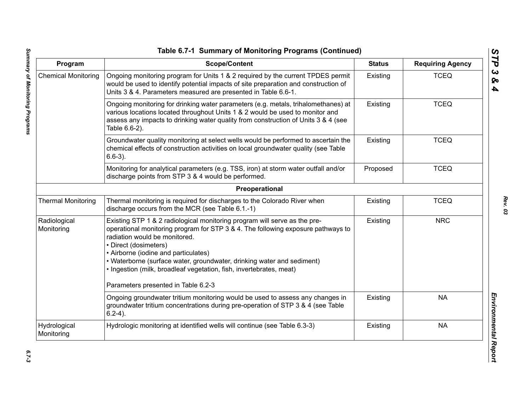| Program                    | <b>Scope/Content</b>                                                                                                                                                                                                                                                                                                                                                                                                                                    | <b>Status</b> | <b>Requiring Agency</b> |
|----------------------------|---------------------------------------------------------------------------------------------------------------------------------------------------------------------------------------------------------------------------------------------------------------------------------------------------------------------------------------------------------------------------------------------------------------------------------------------------------|---------------|-------------------------|
| <b>Chemical Monitoring</b> | Ongoing monitoring program for Units 1 & 2 required by the current TPDES permit<br>would be used to identify potential impacts of site preparation and construction of<br>Units 3 & 4. Parameters measured are presented in Table 6.6-1.                                                                                                                                                                                                                | Existing      | <b>TCEQ</b>             |
|                            | Ongoing monitoring for drinking water parameters (e.g. metals, trihalomethanes) at<br>various locations located throughout Units 1 & 2 would be used to monitor and<br>assess any impacts to drinking water quality from construction of Units 3 & 4 (see<br>Table 6.6-2).                                                                                                                                                                              | Existing      | <b>TCEQ</b>             |
|                            | Groundwater quality monitoring at select wells would be performed to ascertain the<br>chemical effects of construction activities on local groundwater quality (see Table<br>$6.6-3$ ).                                                                                                                                                                                                                                                                 | Existing      | <b>TCEQ</b>             |
|                            | Monitoring for analytical parameters (e.g. TSS, iron) at storm water outfall and/or<br>discharge points from STP 3 & 4 would be performed.                                                                                                                                                                                                                                                                                                              | Proposed      | <b>TCEQ</b>             |
|                            | Preoperational                                                                                                                                                                                                                                                                                                                                                                                                                                          |               |                         |
| <b>Thermal Monitoring</b>  | Thermal monitoring is required for discharges to the Colorado River when<br>discharge occurs from the MCR (see Table 6.1.-1)                                                                                                                                                                                                                                                                                                                            | Existing      | <b>TCEQ</b>             |
| Radiological<br>Monitoring | Existing STP 1 & 2 radiological monitoring program will serve as the pre-<br>operational monitoring program for STP 3 & 4. The following exposure pathways to<br>radiation would be monitored.<br>• Direct (dosimeters)<br>• Airborne (iodine and particulates)<br>• Waterborne (surface water, groundwater, drinking water and sediment)<br>· Ingestion (milk, broadleaf vegetation, fish, invertebrates, meat)<br>Parameters presented in Table 6.2-3 | Existing      | <b>NRC</b>              |
|                            | Ongoing groundwater tritium monitoring would be used to assess any changes in<br>groundwater tritium concentrations during pre-operation of STP 3 & 4 (see Table<br>$6.2-4$ ).                                                                                                                                                                                                                                                                          | Existing      | <b>NA</b>               |
| Hydrological<br>Monitoring | Hydrologic monitoring at identified wells will continue (see Table 6.3-3)                                                                                                                                                                                                                                                                                                                                                                               | Existing      | <b>NA</b>               |

*STP 3 & 4*

 $6.7 - 3$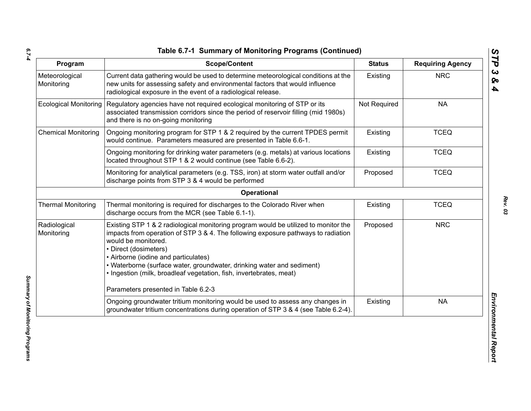*6.7-4*

| Program                      | <b>Scope/Content</b>                                                                                                                                                                                                                                                                                                                                                                                              | <b>Status</b> | <b>Requiring Agency</b> |
|------------------------------|-------------------------------------------------------------------------------------------------------------------------------------------------------------------------------------------------------------------------------------------------------------------------------------------------------------------------------------------------------------------------------------------------------------------|---------------|-------------------------|
| Meteorological<br>Monitoring | Current data gathering would be used to determine meteorological conditions at the<br>new units for assessing safety and environmental factors that would influence<br>radiological exposure in the event of a radiological release.                                                                                                                                                                              | Existing      | <b>NRC</b>              |
| <b>Ecological Monitoring</b> | Regulatory agencies have not required ecological monitoring of STP or its<br>associated transmission corridors since the period of reservoir filling (mid 1980s)<br>and there is no on-going monitoring                                                                                                                                                                                                           | Not Required  | <b>NA</b>               |
| <b>Chemical Monitoring</b>   | Ongoing monitoring program for STP 1 & 2 required by the current TPDES permit<br>would continue. Parameters measured are presented in Table 6.6-1.                                                                                                                                                                                                                                                                | Existing      | <b>TCEQ</b>             |
|                              | Ongoing monitoring for drinking water parameters (e.g. metals) at various locations<br>located throughout STP 1 & 2 would continue (see Table 6.6-2).                                                                                                                                                                                                                                                             | Existing      | <b>TCEQ</b>             |
|                              | Monitoring for analytical parameters (e.g. TSS, iron) at storm water outfall and/or<br>discharge points from STP 3 & 4 would be performed                                                                                                                                                                                                                                                                         | Proposed      | <b>TCEQ</b>             |
|                              | Operational                                                                                                                                                                                                                                                                                                                                                                                                       |               |                         |
| <b>Thermal Monitoring</b>    | Thermal monitoring is required for discharges to the Colorado River when<br>discharge occurs from the MCR (see Table 6.1-1).                                                                                                                                                                                                                                                                                      | Existing      | <b>TCEQ</b>             |
| Radiological<br>Monitoring   | Existing STP 1 & 2 radiological monitoring program would be utilized to monitor the<br>impacts from operation of STP 3 & 4. The following exposure pathways to radiation<br>would be monitored.<br>• Direct (dosimeters)<br>• Airborne (iodine and particulates)<br>• Waterborne (surface water, groundwater, drinking water and sediment)<br>· Ingestion (milk, broadleaf vegetation, fish, invertebrates, meat) | Proposed      | <b>NRC</b>              |
|                              | Parameters presented in Table 6.2-3                                                                                                                                                                                                                                                                                                                                                                               |               |                         |
|                              | Ongoing groundwater tritium monitoring would be used to assess any changes in<br>groundwater tritium concentrations during operation of STP 3 & 4 (see Table 6.2-4).                                                                                                                                                                                                                                              | Existing      | <b>NA</b>               |

*Summary of Monitoring Programs*